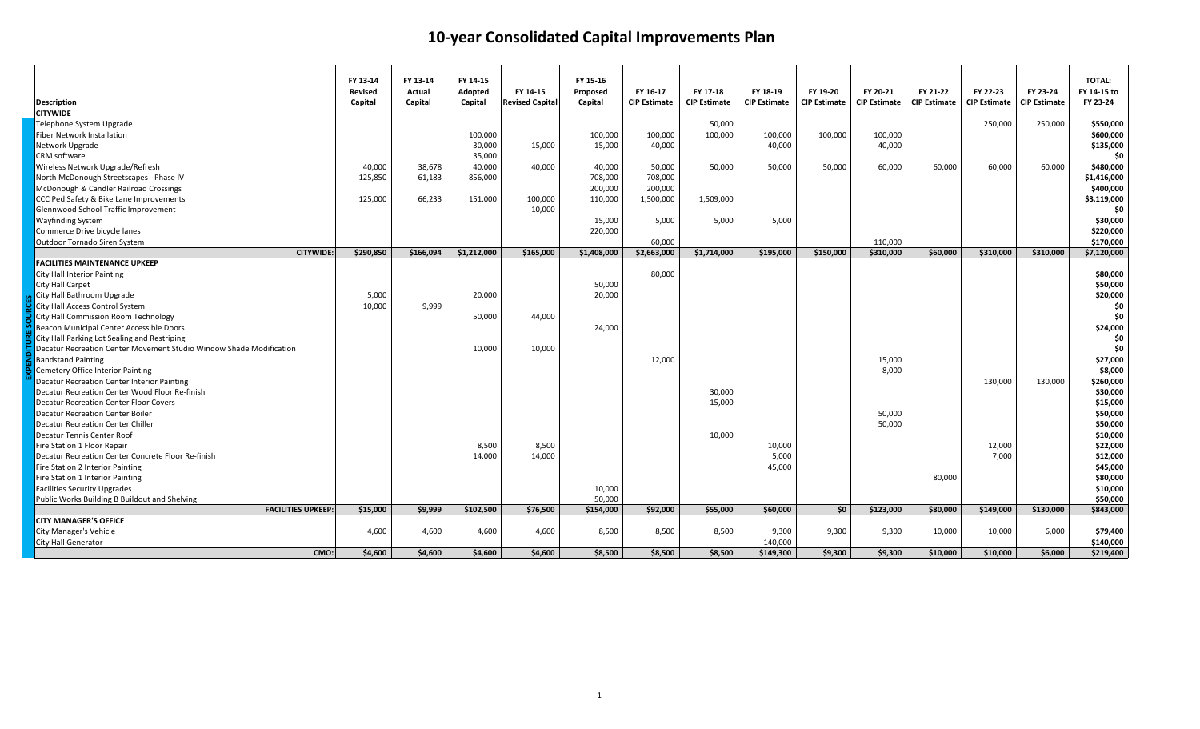| <b>Description</b>                                                  | FY 13-14<br><b>Revised</b><br>Capital | FY 13-14<br>Actual<br>Capital | FY 14-15<br>Adopted<br>Capital | FY 14-15<br><b>Revised Capital</b> | FY 15-16<br>Proposed<br>Capital | FY 16-17<br><b>CIP Estimate</b> | FY 17-18<br><b>CIP Estimate</b> | FY 18-19<br><b>CIP Estimate</b> | FY 19-20<br><b>CIP Estimate</b> | FY 20-21<br><b>CIP Estimate</b> | FY 21-22<br><b>CIP Estimate</b> | FY 22-23<br><b>CIP Estimate</b> | FY 23-24<br><b>CIP Estimate</b> | <b>TOTAL:</b><br>FY 14-15 to<br>FY 23-24 |
|---------------------------------------------------------------------|---------------------------------------|-------------------------------|--------------------------------|------------------------------------|---------------------------------|---------------------------------|---------------------------------|---------------------------------|---------------------------------|---------------------------------|---------------------------------|---------------------------------|---------------------------------|------------------------------------------|
| <b>CITYWIDE</b>                                                     |                                       |                               |                                |                                    |                                 |                                 |                                 |                                 |                                 |                                 |                                 |                                 |                                 |                                          |
| Telephone System Upgrade                                            |                                       |                               |                                |                                    |                                 |                                 | 50,000                          |                                 |                                 |                                 |                                 | 250,000                         | 250,000                         | \$550,000                                |
| Fiber Network Installation                                          |                                       |                               | 100,000                        |                                    | 100,000                         | 100,000                         | 100,000                         | 100,000                         | 100,000                         | 100,000                         |                                 |                                 |                                 | \$600,000                                |
| Network Upgrade                                                     |                                       |                               | 30,000                         | 15,000                             | 15,000                          | 40,000                          |                                 | 40,000                          |                                 | 40,000                          |                                 |                                 |                                 | \$135,000                                |
| CRM software                                                        |                                       |                               | 35,000                         |                                    |                                 |                                 |                                 |                                 |                                 |                                 |                                 |                                 |                                 | \$0                                      |
| Wireless Network Upgrade/Refresh                                    | 40,000                                | 38,678                        | 40,000                         | 40,000                             | 40,000                          | 50,000                          | 50,000                          | 50,000                          | 50,000                          | 60,000                          | 60,000                          | 60,000                          | 60,000                          | \$480,000                                |
| North McDonough Streetscapes - Phase IV                             | 125,850                               | 61,183                        | 856,000                        |                                    | 708,000                         | 708,000                         |                                 |                                 |                                 |                                 |                                 |                                 |                                 | \$1,416,000                              |
| McDonough & Candler Railroad Crossings                              |                                       |                               |                                |                                    | 200,000                         | 200,000                         |                                 |                                 |                                 |                                 |                                 |                                 |                                 | \$400,000                                |
| CCC Ped Safety & Bike Lane Improvements                             | 125,000                               | 66,233                        | 151,000                        | 100,000                            | 110,000                         | 1,500,000                       | 1,509,000                       |                                 |                                 |                                 |                                 |                                 |                                 | \$3,119,000                              |
| Glennwood School Traffic Improvement                                |                                       |                               |                                | 10,000                             |                                 |                                 |                                 |                                 |                                 |                                 |                                 |                                 |                                 | \$0                                      |
| <b>Wayfinding System</b>                                            |                                       |                               |                                |                                    | 15,000                          | 5,000                           | 5,000                           | 5,000                           |                                 |                                 |                                 |                                 |                                 | \$30,000                                 |
| Commerce Drive bicycle lanes                                        |                                       |                               |                                |                                    | 220,000                         |                                 |                                 |                                 |                                 |                                 |                                 |                                 |                                 | \$220,000                                |
| <b>Outdoor Tornado Siren System</b>                                 |                                       |                               |                                |                                    |                                 | 60.000                          |                                 |                                 |                                 | 110,000                         |                                 |                                 |                                 | \$170,000                                |
| <b>CITYWIDE:</b>                                                    | \$290.850                             | \$166.094                     | \$1,212,000                    | \$165,000                          | \$1,408,000                     | \$2,663,000                     | \$1,714,000                     | \$195,000                       | \$150,000                       | \$310,000                       | \$60,000                        | \$310,000                       | \$310,000                       | \$7,120,000                              |
| <b>FACILITIES MAINTENANCE UPKEEP</b>                                |                                       |                               |                                |                                    |                                 |                                 |                                 |                                 |                                 |                                 |                                 |                                 |                                 |                                          |
| <b>City Hall Interior Painting</b>                                  |                                       |                               |                                |                                    |                                 | 80,000                          |                                 |                                 |                                 |                                 |                                 |                                 |                                 | \$80,000                                 |
| <b>City Hall Carpet</b>                                             |                                       |                               |                                |                                    | 50,000                          |                                 |                                 |                                 |                                 |                                 |                                 |                                 |                                 | \$50,000                                 |
| City Hall Bathroom Upgrade                                          | 5,000                                 |                               | 20,000                         |                                    | 20,000                          |                                 |                                 |                                 |                                 |                                 |                                 |                                 |                                 | \$20,000                                 |
| City Hall Access Control System                                     | 10,000                                | 9.999                         |                                |                                    |                                 |                                 |                                 |                                 |                                 |                                 |                                 |                                 |                                 | \$0                                      |
| City Hall Commission Room Technology                                |                                       |                               | 50,000                         | 44,000                             |                                 |                                 |                                 |                                 |                                 |                                 |                                 |                                 |                                 | \$0                                      |
| Beacon Municipal Center Accessible Doors                            |                                       |                               |                                |                                    | 24,000                          |                                 |                                 |                                 |                                 |                                 |                                 |                                 |                                 | \$24,000                                 |
|                                                                     |                                       |                               |                                |                                    |                                 |                                 |                                 |                                 |                                 |                                 |                                 |                                 |                                 | \$0                                      |
| City Hall Parking Lot Sealing and Restriping                        |                                       |                               | 10,000                         |                                    |                                 |                                 |                                 |                                 |                                 |                                 |                                 |                                 |                                 | \$0                                      |
| Decatur Recreation Center Movement Studio Window Shade Modification |                                       |                               |                                | 10,000                             |                                 |                                 |                                 |                                 |                                 |                                 |                                 |                                 |                                 |                                          |
| <b>Bandstand Painting</b>                                           |                                       |                               |                                |                                    |                                 | 12,000                          |                                 |                                 |                                 | 15,000                          |                                 |                                 |                                 | \$27,000                                 |
| Cemetery Office Interior Painting                                   |                                       |                               |                                |                                    |                                 |                                 |                                 |                                 |                                 | 8,000                           |                                 |                                 |                                 | \$8,000                                  |
| Decatur Recreation Center Interior Painting                         |                                       |                               |                                |                                    |                                 |                                 |                                 |                                 |                                 |                                 |                                 | 130,000                         | 130,000                         | \$260,000                                |
| Decatur Recreation Center Wood Floor Re-finish                      |                                       |                               |                                |                                    |                                 |                                 | 30,000                          |                                 |                                 |                                 |                                 |                                 |                                 | \$30,000                                 |
| <b>Decatur Recreation Center Floor Covers</b>                       |                                       |                               |                                |                                    |                                 |                                 | 15,000                          |                                 |                                 |                                 |                                 |                                 |                                 | \$15,000                                 |
| <b>Decatur Recreation Center Boiler</b>                             |                                       |                               |                                |                                    |                                 |                                 |                                 |                                 |                                 | 50,000                          |                                 |                                 |                                 | \$50,000                                 |
| <b>Decatur Recreation Center Chiller</b>                            |                                       |                               |                                |                                    |                                 |                                 |                                 |                                 |                                 | 50,000                          |                                 |                                 |                                 | \$50,000                                 |
| Decatur Tennis Center Roof                                          |                                       |                               |                                |                                    |                                 |                                 | 10,000                          |                                 |                                 |                                 |                                 |                                 |                                 | \$10,000                                 |
| Fire Station 1 Floor Repair                                         |                                       |                               | 8,500                          | 8,500                              |                                 |                                 |                                 | 10,000                          |                                 |                                 |                                 | 12,000                          |                                 | \$22,000                                 |
| Decatur Recreation Center Concrete Floor Re-finish                  |                                       |                               | 14,000                         | 14,000                             |                                 |                                 |                                 | 5,000                           |                                 |                                 |                                 | 7,000                           |                                 | \$12,000                                 |
| Fire Station 2 Interior Painting                                    |                                       |                               |                                |                                    |                                 |                                 |                                 | 45,000                          |                                 |                                 |                                 |                                 |                                 | \$45,000                                 |
| Fire Station 1 Interior Painting                                    |                                       |                               |                                |                                    |                                 |                                 |                                 |                                 |                                 |                                 | 80,000                          |                                 |                                 | \$80,000                                 |
| <b>Facilities Security Upgrades</b>                                 |                                       |                               |                                |                                    | 10,000                          |                                 |                                 |                                 |                                 |                                 |                                 |                                 |                                 | \$10,000                                 |
| Public Works Building B Buildout and Shelving                       |                                       |                               |                                |                                    | 50,000                          |                                 |                                 |                                 |                                 |                                 |                                 |                                 |                                 | \$50,000                                 |
| <b>FACILITIES UPKEEP:</b>                                           | \$15,000                              | \$9.999                       | \$102.500                      | \$76,500                           | \$154.000                       | \$92,000                        | \$55,000                        | \$60,000                        | \$0                             | \$123,000                       | \$80,000                        | \$149,000                       | \$130,000                       | \$843,000                                |
| <b>CITY MANAGER'S OFFICE</b>                                        |                                       |                               |                                |                                    |                                 |                                 |                                 |                                 |                                 |                                 |                                 |                                 |                                 |                                          |
| <b>City Manager's Vehicle</b>                                       | 4,600                                 | 4,600                         | 4,600                          | 4,600                              | 8,500                           | 8,500                           | 8,500                           | 9,300                           | 9,300                           | 9,300                           | 10,000                          | 10,000                          | 6,000                           | \$79,400                                 |
| <b>City Hall Generator</b>                                          |                                       |                               |                                |                                    |                                 |                                 |                                 | 140,000                         |                                 |                                 |                                 |                                 |                                 | \$140,000                                |
| CMO:                                                                | \$4,600                               | \$4,600                       | \$4,600                        | \$4,600                            | \$8.500                         | \$8,500                         | \$8,500                         | \$149,300                       | \$9,300                         | \$9,300                         | \$10,000                        | \$10,000                        | \$6,000                         | \$219,400                                |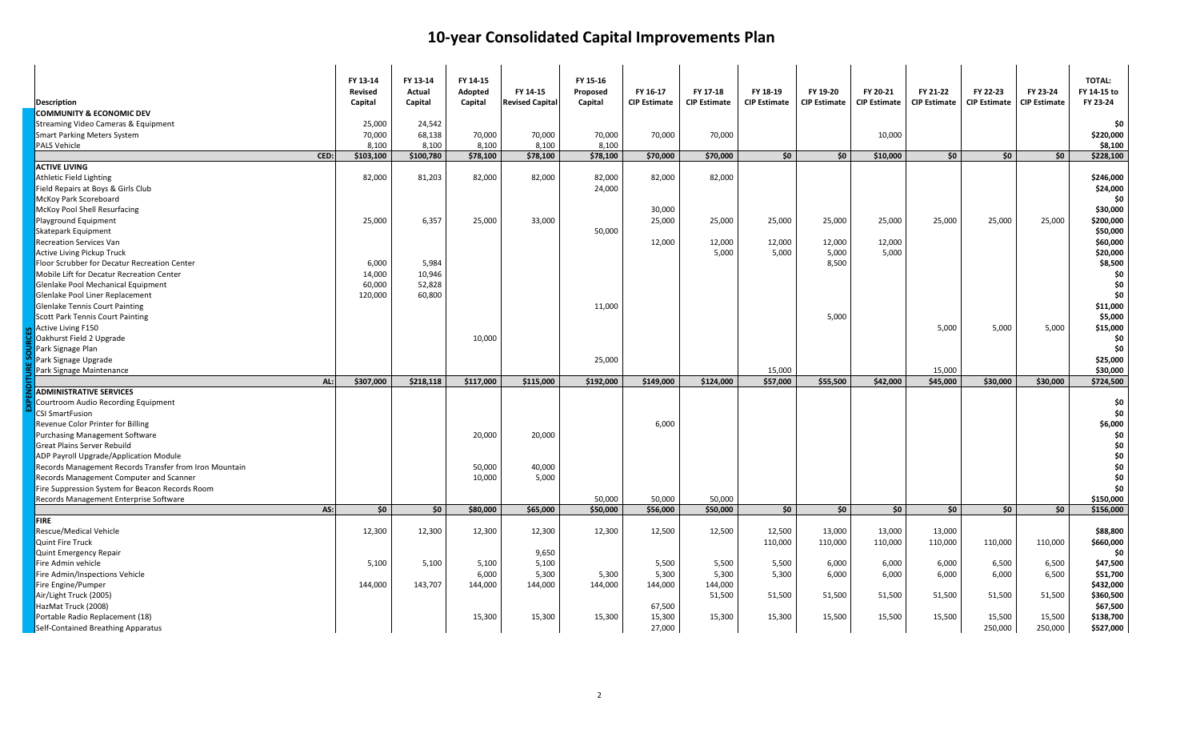| <b>Description</b><br><b>COMMUNITY &amp; ECONOMIC DEV</b> | FY 13-14<br><b>Revised</b><br>Capital | FY 13-14<br>Actual<br>Capital | FY 14-15<br>Adopted<br>Capital | FY 14-15<br><b>Revised Capital</b> | FY 15-16<br>Proposed<br>Capital | FY 16-17<br><b>CIP Estimate</b> | FY 17-18<br><b>CIP Estimate</b> | FY 18-19<br><b>CIP Estimate</b> | FY 19-20<br><b>CIP Estimate</b> | FY 20-21<br><b>CIP Estimate</b> | FY 21-22<br><b>CIP Estimate</b> | FY 22-23<br><b>CIP Estimate</b> | FY 23-24<br><b>CIP Estimate</b> | <b>TOTAL:</b><br>FY 14-15 to<br>FY 23-24 |
|-----------------------------------------------------------|---------------------------------------|-------------------------------|--------------------------------|------------------------------------|---------------------------------|---------------------------------|---------------------------------|---------------------------------|---------------------------------|---------------------------------|---------------------------------|---------------------------------|---------------------------------|------------------------------------------|
| Streaming Video Cameras & Equipment                       | 25,000                                | 24,542                        |                                |                                    |                                 |                                 |                                 |                                 |                                 |                                 |                                 |                                 |                                 | \$0                                      |
| <b>Smart Parking Meters System</b>                        | 70,000                                | 68,138                        | 70,000                         | 70,000                             | 70,000                          | 70,000                          | 70,000                          |                                 |                                 | 10,000                          |                                 |                                 |                                 | \$220,000                                |
| <b>PALS Vehicle</b>                                       | 8,100                                 | 8,100                         | 8,100                          | 8,100                              | 8,100                           |                                 |                                 |                                 |                                 |                                 |                                 |                                 |                                 | \$8,100                                  |
| CED:                                                      | \$103,100                             | \$100,780                     | \$78,100                       | \$78,100                           | \$78,100                        | \$70,000                        | \$70,000                        | \$0\$                           | \$0                             | \$10,000                        | \$0                             | \$0                             | \$0                             | \$228,100                                |
| <b>ACTIVE LIVING</b>                                      |                                       |                               |                                |                                    |                                 |                                 |                                 |                                 |                                 |                                 |                                 |                                 |                                 |                                          |
| Athletic Field Lighting                                   | 82,000                                | 81,203                        | 82,000                         | 82,000                             | 82,000                          | 82,000                          | 82,000                          |                                 |                                 |                                 |                                 |                                 |                                 | \$246,000                                |
| Field Repairs at Boys & Girls Club                        |                                       |                               |                                |                                    | 24,000                          |                                 |                                 |                                 |                                 |                                 |                                 |                                 |                                 | \$24,000                                 |
| McKoy Park Scoreboard                                     |                                       |                               |                                |                                    |                                 |                                 |                                 |                                 |                                 |                                 |                                 |                                 |                                 | \$0                                      |
| McKoy Pool Shell Resurfacing                              |                                       |                               |                                |                                    |                                 | 30,000                          |                                 |                                 |                                 |                                 |                                 |                                 |                                 | \$30,000                                 |
| Playground Equipment                                      | 25,000                                | 6,357                         | 25,000                         | 33,000                             |                                 | 25,000                          | 25,000                          | 25,000                          | 25,000                          | 25,000                          | 25,000                          | 25,000                          | 25,000                          | \$200,000                                |
| <b>Skatepark Equipment</b>                                |                                       |                               |                                |                                    | 50,000                          |                                 |                                 |                                 |                                 |                                 |                                 |                                 |                                 | \$50,000                                 |
| <b>Recreation Services Van</b>                            |                                       |                               |                                |                                    |                                 | 12,000                          | 12,000                          | 12,000                          | 12,000                          | 12,000                          |                                 |                                 |                                 | \$60,000                                 |
| Active Living Pickup Truck                                |                                       |                               |                                |                                    |                                 |                                 | 5,000                           | 5,000                           | 5,000                           | 5,000                           |                                 |                                 |                                 | \$20,000                                 |
| Floor Scrubber for Decatur Recreation Center              | 6,000                                 | 5,984                         |                                |                                    |                                 |                                 |                                 |                                 | 8,500                           |                                 |                                 |                                 |                                 | \$8,500                                  |
| Mobile Lift for Decatur Recreation Center                 | 14,000                                | 10,946                        |                                |                                    |                                 |                                 |                                 |                                 |                                 |                                 |                                 |                                 |                                 | \$0                                      |
| Glenlake Pool Mechanical Equipment                        | 60,000                                | 52,828                        |                                |                                    |                                 |                                 |                                 |                                 |                                 |                                 |                                 |                                 |                                 | \$0                                      |
| Glenlake Pool Liner Replacement                           | 120,000                               | 60,800                        |                                |                                    |                                 |                                 |                                 |                                 |                                 |                                 |                                 |                                 |                                 | \$0                                      |
| <b>Glenlake Tennis Court Painting</b>                     |                                       |                               |                                |                                    | 11,000                          |                                 |                                 |                                 |                                 |                                 |                                 |                                 |                                 | \$11,000                                 |
| <b>Scott Park Tennis Court Painting</b>                   |                                       |                               |                                |                                    |                                 |                                 |                                 |                                 | 5,000                           |                                 |                                 |                                 |                                 | \$5,000                                  |
| Active Living F150                                        |                                       |                               |                                |                                    |                                 |                                 |                                 |                                 |                                 |                                 | 5,000                           | 5,000                           | 5,000                           | \$15,000                                 |
| Oakhurst Field 2 Upgrade                                  |                                       |                               | 10,000                         |                                    |                                 |                                 |                                 |                                 |                                 |                                 |                                 |                                 |                                 | \$0                                      |
| Park Signage Plan                                         |                                       |                               |                                |                                    |                                 |                                 |                                 |                                 |                                 |                                 |                                 |                                 |                                 | \$0                                      |
| Park Signage Upgrade                                      |                                       |                               |                                |                                    | 25,000                          |                                 |                                 |                                 |                                 |                                 |                                 |                                 |                                 | \$25,000                                 |
| Park Signage Maintenance                                  |                                       |                               |                                |                                    |                                 |                                 |                                 | 15,000                          |                                 |                                 | 15,000                          |                                 |                                 | \$30,000                                 |
| AL:                                                       | \$307,000                             | \$218,118                     | \$117,000                      | \$115,000                          | \$192,000                       | \$149,000                       | \$124,000                       | \$57,000                        | \$55,500                        | \$42,000                        | \$45,000                        | \$30,000                        | \$30,000                        | \$724,500                                |
| <b>ADMINISTRATIVE SERVICES</b>                            |                                       |                               |                                |                                    |                                 |                                 |                                 |                                 |                                 |                                 |                                 |                                 |                                 |                                          |
| Courtroom Audio Recording Equipment                       |                                       |                               |                                |                                    |                                 |                                 |                                 |                                 |                                 |                                 |                                 |                                 |                                 | \$0                                      |
| <b>CSI SmartFusion</b>                                    |                                       |                               |                                |                                    |                                 |                                 |                                 |                                 |                                 |                                 |                                 |                                 |                                 | \$0                                      |
| Revenue Color Printer for Billing                         |                                       |                               |                                |                                    |                                 | 6,000                           |                                 |                                 |                                 |                                 |                                 |                                 |                                 | \$6,000                                  |
| <b>Purchasing Management Software</b>                     |                                       |                               | 20,000                         | 20,000                             |                                 |                                 |                                 |                                 |                                 |                                 |                                 |                                 |                                 | \$0                                      |
| <b>Great Plains Server Rebuild</b>                        |                                       |                               |                                |                                    |                                 |                                 |                                 |                                 |                                 |                                 |                                 |                                 |                                 | \$0                                      |
| ADP Payroll Upgrade/Application Module                    |                                       |                               |                                |                                    |                                 |                                 |                                 |                                 |                                 |                                 |                                 |                                 |                                 | \$0                                      |
| Records Management Records Transfer from Iron Mountain    |                                       |                               | 50,000                         | 40,000                             |                                 |                                 |                                 |                                 |                                 |                                 |                                 |                                 |                                 | \$0                                      |
| Records Management Computer and Scanner                   |                                       |                               | 10,000                         | 5,000                              |                                 |                                 |                                 |                                 |                                 |                                 |                                 |                                 |                                 | \$0                                      |
| Fire Suppression System for Beacon Records Room           |                                       |                               |                                |                                    |                                 |                                 |                                 |                                 |                                 |                                 |                                 |                                 |                                 | \$0                                      |
| Records Management Enterprise Software                    |                                       |                               |                                |                                    | 50,000                          | 50,000                          | 50,000                          |                                 |                                 |                                 |                                 |                                 |                                 | \$150,000                                |
| AS:                                                       | \$0                                   | \$0                           | \$80,000                       | \$65,000                           | \$50,000                        | \$56,000                        | \$50,000                        | \$0                             | \$0                             | \$0                             | \$0                             | \$0                             | \$0                             | \$156,000                                |
| <b>FIRE</b>                                               |                                       |                               |                                |                                    |                                 |                                 |                                 |                                 |                                 |                                 |                                 |                                 |                                 |                                          |
| Rescue/Medical Vehicle                                    | 12,300                                | 12,300                        | 12,300                         | 12,300                             | 12,300                          | 12,500                          | 12,500                          | 12,500                          | 13,000                          | 13,000                          | 13,000                          |                                 |                                 | \$88,800                                 |
| <b>Quint Fire Truck</b>                                   |                                       |                               |                                |                                    |                                 |                                 |                                 | 110,000                         | 110,000                         | 110,000                         | 110,000                         | 110,000                         | 110,000                         | \$660,000                                |
| <b>Quint Emergency Repair</b>                             |                                       |                               |                                | 9,650                              |                                 |                                 |                                 |                                 |                                 |                                 |                                 |                                 |                                 | \$0                                      |
| Fire Admin vehicle                                        | 5,100                                 | 5,100                         | 5,100                          | 5,100                              |                                 | 5,500                           | 5,500                           | 5,500                           | 6,000                           | 6,000                           | 6,000                           | 6,500                           | 6,500                           | \$47,500                                 |
| Fire Admin/Inspections Vehicle                            |                                       |                               | 6,000                          | 5,300                              | 5,300                           | 5,300                           | 5,300                           | 5,300                           | 6,000                           | 6,000                           | 6,000                           | 6,000                           | 6,500                           | \$51,700                                 |
| Fire Engine/Pumper                                        | 144,000                               | 143,707                       | 144,000                        | 144,000                            | 144,000                         | 144,000                         | 144,000                         |                                 |                                 |                                 |                                 |                                 |                                 | \$432,000                                |
| Air/Light Truck (2005)                                    |                                       |                               |                                |                                    |                                 |                                 | 51,500                          | 51,500                          | 51,500                          | 51,500                          | 51,500                          | 51,500                          | 51,500                          | \$360,500                                |
| HazMat Truck (2008)                                       |                                       |                               |                                |                                    |                                 | 67,500                          |                                 |                                 |                                 |                                 |                                 |                                 |                                 | \$67,500                                 |
| Portable Radio Replacement (18)                           |                                       |                               | 15,300                         | 15,300                             | 15,300                          | 15,300                          | 15,300                          | 15,300                          | 15,500                          | 15,500                          | 15,500                          | 15,500                          | 15,500                          | \$138,700                                |
| Self-Contained Breathing Apparatus                        |                                       |                               |                                |                                    |                                 | 27,000                          |                                 |                                 |                                 |                                 |                                 | 250,000                         | 250,000                         | \$527,000                                |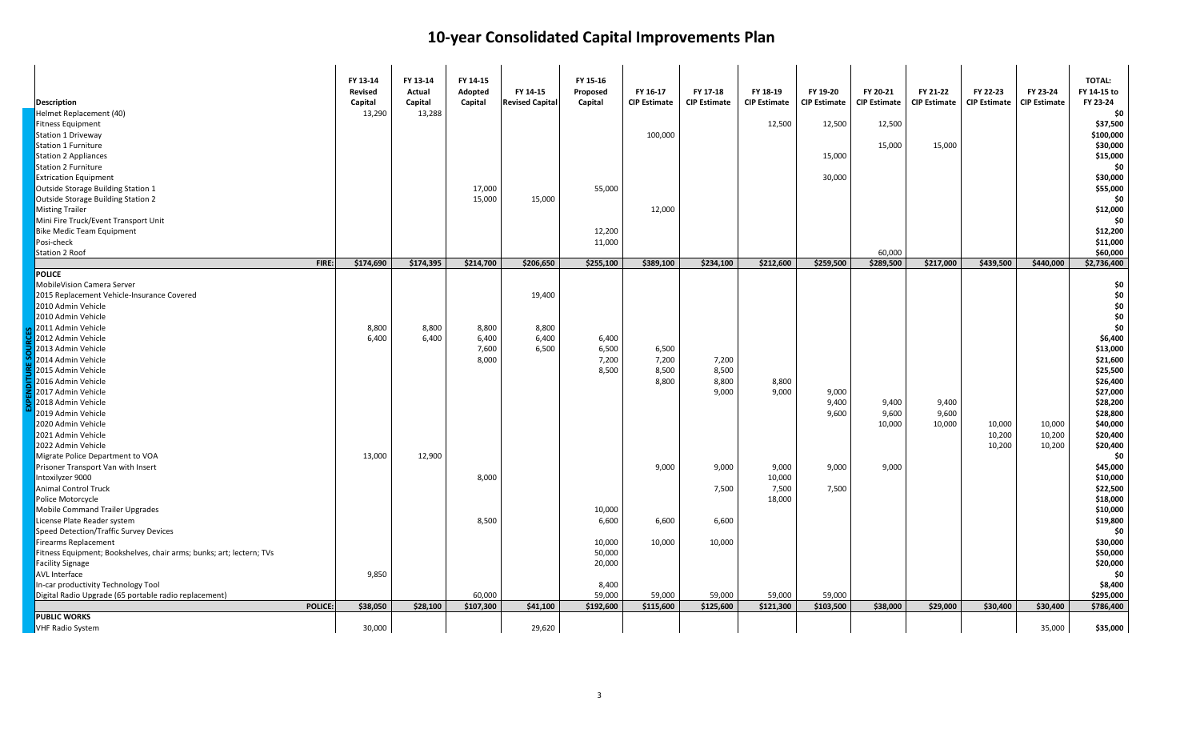| <b>Description</b><br>Helmet Replacement (40)                        | FY 13-14<br>Revised<br>Capital<br>13,290 | FY 13-14<br>Actual<br>Capital<br>13,288 | FY 14-15<br>Adopted<br>Capital | FY 14-15<br><b>Revised Capital</b> | FY 15-16<br>Proposed<br>Capital | FY 16-17<br><b>CIP Estimate</b> | FY 17-18<br><b>CIP Estimate</b> | FY 18-19<br><b>CIP Estimate</b> | FY 19-20<br><b>CIP Estimate</b> | FY 20-21<br><b>CIP Estimate</b> | FY 21-22<br><b>CIP Estimate</b> | FY 22-23<br><b>CIP Estimate</b> | FY 23-24<br><b>CIP Estimate</b> | TOTAL:<br>FY 14-15 to<br>FY 23-24<br>\$0 |
|----------------------------------------------------------------------|------------------------------------------|-----------------------------------------|--------------------------------|------------------------------------|---------------------------------|---------------------------------|---------------------------------|---------------------------------|---------------------------------|---------------------------------|---------------------------------|---------------------------------|---------------------------------|------------------------------------------|
| <b>Fitness Equipment</b>                                             |                                          |                                         |                                |                                    |                                 |                                 |                                 | 12,500                          | 12,500                          | 12,500                          |                                 |                                 |                                 | \$37,500                                 |
| Station 1 Driveway                                                   |                                          |                                         |                                |                                    |                                 | 100,000                         |                                 |                                 |                                 |                                 |                                 |                                 |                                 | \$100,000                                |
| Station 1 Furniture                                                  |                                          |                                         |                                |                                    |                                 |                                 |                                 |                                 |                                 | 15,000                          | 15,000                          |                                 |                                 | \$30,000                                 |
| <b>Station 2 Appliances</b>                                          |                                          |                                         |                                |                                    |                                 |                                 |                                 |                                 | 15,000                          |                                 |                                 |                                 |                                 | \$15,000                                 |
| <b>Station 2 Furniture</b>                                           |                                          |                                         |                                |                                    |                                 |                                 |                                 |                                 |                                 |                                 |                                 |                                 |                                 | \$0                                      |
| <b>Extrication Equipment</b>                                         |                                          |                                         |                                |                                    |                                 |                                 |                                 |                                 | 30,000                          |                                 |                                 |                                 |                                 | \$30,000                                 |
| Outside Storage Building Station 1                                   |                                          |                                         | 17,000                         |                                    | 55,000                          |                                 |                                 |                                 |                                 |                                 |                                 |                                 |                                 | \$55,000                                 |
| Outside Storage Building Station 2                                   |                                          |                                         | 15,000                         | 15,000                             |                                 |                                 |                                 |                                 |                                 |                                 |                                 |                                 |                                 | \$0                                      |
| <b>Misting Trailer</b>                                               |                                          |                                         |                                |                                    |                                 | 12,000                          |                                 |                                 |                                 |                                 |                                 |                                 |                                 | \$12,000                                 |
| Mini Fire Truck/Event Transport Unit                                 |                                          |                                         |                                |                                    |                                 |                                 |                                 |                                 |                                 |                                 |                                 |                                 |                                 | \$0                                      |
| <b>Bike Medic Team Equipment</b>                                     |                                          |                                         |                                |                                    | 12,200                          |                                 |                                 |                                 |                                 |                                 |                                 |                                 |                                 | \$12,200                                 |
| Posi-check                                                           |                                          |                                         |                                |                                    | 11,000                          |                                 |                                 |                                 |                                 |                                 |                                 |                                 |                                 | \$11,000                                 |
| Station 2 Roof                                                       |                                          |                                         |                                |                                    |                                 |                                 |                                 |                                 |                                 | 60,000                          |                                 |                                 |                                 | \$60,000                                 |
| FIRE:                                                                | \$174,690                                | \$174,395                               | \$214.700                      | \$206.650                          | \$255,100                       | \$389,100                       | \$234.100                       | \$212,600                       | \$259.500                       | \$289,500                       | \$217,000                       | \$439,500                       | \$440,000                       | \$2,736,400                              |
| <b>POLICE</b>                                                        |                                          |                                         |                                |                                    |                                 |                                 |                                 |                                 |                                 |                                 |                                 |                                 |                                 |                                          |
| MobileVision Camera Server                                           |                                          |                                         |                                |                                    |                                 |                                 |                                 |                                 |                                 |                                 |                                 |                                 |                                 | \$0                                      |
| 2015 Replacement Vehicle-Insurance Covered                           |                                          |                                         |                                | 19,400                             |                                 |                                 |                                 |                                 |                                 |                                 |                                 |                                 |                                 | \$0                                      |
| 2010 Admin Vehicle                                                   |                                          |                                         |                                |                                    |                                 |                                 |                                 |                                 |                                 |                                 |                                 |                                 |                                 | \$0                                      |
| 2010 Admin Vehicle                                                   |                                          |                                         |                                |                                    |                                 |                                 |                                 |                                 |                                 |                                 |                                 |                                 |                                 | \$0                                      |
| 2011 Admin Vehicle                                                   | 8,800                                    | 8,800                                   | 8,800                          | 8,800                              |                                 |                                 |                                 |                                 |                                 |                                 |                                 |                                 |                                 | \$0                                      |
| 2012 Admin Vehicle                                                   | 6,400                                    | 6,400                                   | 6,400                          | 6,400                              | 6,400                           |                                 |                                 |                                 |                                 |                                 |                                 |                                 |                                 | \$6,400                                  |
| 2013 Admin Vehicle                                                   |                                          |                                         | 7,600                          | 6,500                              | 6,500                           | 6,500                           |                                 |                                 |                                 |                                 |                                 |                                 |                                 | \$13,000                                 |
| 2014 Admin Vehicle                                                   |                                          |                                         | 8,000                          |                                    | 7,200                           | 7,200                           | 7,200                           |                                 |                                 |                                 |                                 |                                 |                                 | \$21,600                                 |
| 2015 Admin Vehicle                                                   |                                          |                                         |                                |                                    | 8,500                           | 8,500                           | 8,500                           |                                 |                                 |                                 |                                 |                                 |                                 | \$25,500                                 |
| 2016 Admin Vehicle                                                   |                                          |                                         |                                |                                    |                                 | 8,800                           | 8,800                           | 8,800                           |                                 |                                 |                                 |                                 |                                 | \$26,400                                 |
| 2017 Admin Vehicle                                                   |                                          |                                         |                                |                                    |                                 |                                 | 9,000                           | 9,000                           | 9,000                           |                                 |                                 |                                 |                                 | \$27,000                                 |
| 2018 Admin Vehicle                                                   |                                          |                                         |                                |                                    |                                 |                                 |                                 |                                 | 9,400                           | 9,400                           | 9,400                           |                                 |                                 | \$28,200                                 |
| 2019 Admin Vehicle                                                   |                                          |                                         |                                |                                    |                                 |                                 |                                 |                                 | 9,600                           | 9,600                           | 9,600                           |                                 |                                 | \$28,800                                 |
| 2020 Admin Vehicle                                                   |                                          |                                         |                                |                                    |                                 |                                 |                                 |                                 |                                 | 10,000                          | 10,000                          | 10,000                          | 10,000                          | \$40,000                                 |
| 2021 Admin Vehicle                                                   |                                          |                                         |                                |                                    |                                 |                                 |                                 |                                 |                                 |                                 |                                 | 10,200                          | 10,200                          | \$20,400                                 |
| 2022 Admin Vehicle                                                   |                                          |                                         |                                |                                    |                                 |                                 |                                 |                                 |                                 |                                 |                                 | 10,200                          | 10,200                          | \$20,400                                 |
| Migrate Police Department to VOA                                     | 13,000                                   | 12,900                                  |                                |                                    |                                 |                                 |                                 |                                 |                                 |                                 |                                 |                                 |                                 | \$0                                      |
| Prisoner Transport Van with Insert                                   |                                          |                                         |                                |                                    |                                 | 9,000                           | 9,000                           | 9,000                           | 9,000                           | 9,000                           |                                 |                                 |                                 | \$45,000                                 |
| Intoxilyzer 9000                                                     |                                          |                                         | 8,000                          |                                    |                                 |                                 |                                 | 10,000                          |                                 |                                 |                                 |                                 |                                 | \$10,000                                 |
| <b>Animal Control Truck</b>                                          |                                          |                                         |                                |                                    |                                 |                                 | 7,500                           | 7,500                           | 7,500                           |                                 |                                 |                                 |                                 | \$22,500                                 |
| Police Motorcycle                                                    |                                          |                                         |                                |                                    |                                 |                                 |                                 | 18,000                          |                                 |                                 |                                 |                                 |                                 | \$18,000                                 |
| <b>Mobile Command Trailer Upgrades</b>                               |                                          |                                         |                                |                                    | 10,000                          |                                 |                                 |                                 |                                 |                                 |                                 |                                 |                                 | \$10,000                                 |
| License Plate Reader system                                          |                                          |                                         | 8,500                          |                                    | 6,600                           | 6,600                           | 6,600                           |                                 |                                 |                                 |                                 |                                 |                                 | \$19,800                                 |
| Speed Detection/Traffic Survey Devices                               |                                          |                                         |                                |                                    |                                 |                                 |                                 |                                 |                                 |                                 |                                 |                                 |                                 | \$0                                      |
| <b>Firearms Replacement</b>                                          |                                          |                                         |                                |                                    | 10,000                          | 10,000                          | 10,000                          |                                 |                                 |                                 |                                 |                                 |                                 | \$30,000                                 |
| Fitness Equipment; Bookshelves, chair arms; bunks; art; lectern; TVs |                                          |                                         |                                |                                    | 50,000                          |                                 |                                 |                                 |                                 |                                 |                                 |                                 |                                 | \$50,000                                 |
| <b>Facility Signage</b>                                              |                                          |                                         |                                |                                    | 20,000                          |                                 |                                 |                                 |                                 |                                 |                                 |                                 |                                 | \$20,000                                 |
| AVL Interface                                                        | 9,850                                    |                                         |                                |                                    |                                 |                                 |                                 |                                 |                                 |                                 |                                 |                                 |                                 | \$0                                      |
| In-car productivity Technology Tool                                  |                                          |                                         |                                |                                    | 8,400                           |                                 |                                 |                                 |                                 |                                 |                                 |                                 |                                 | \$8,400                                  |
| Digital Radio Upgrade (65 portable radio replacement)                |                                          |                                         | 60,000                         |                                    | 59,000                          | 59,000                          | 59,000                          | 59,000                          | 59,000                          |                                 |                                 |                                 |                                 | \$295,000                                |
| POLICE:                                                              | \$38,050                                 | \$28,100                                | \$107,300                      | \$41,100                           | \$192,600                       | \$115,600                       | \$125,600                       | \$121,300                       | \$103,500                       | \$38,000                        | \$29,000                        | \$30,400                        | \$30,400                        | \$786,400                                |
| <b>PUBLIC WORKS</b>                                                  |                                          |                                         |                                |                                    |                                 |                                 |                                 |                                 |                                 |                                 |                                 |                                 |                                 |                                          |
| VHF Radio System                                                     | 30,000                                   |                                         |                                | 29,620                             |                                 |                                 |                                 |                                 |                                 |                                 |                                 |                                 | 35,000                          | \$35,000                                 |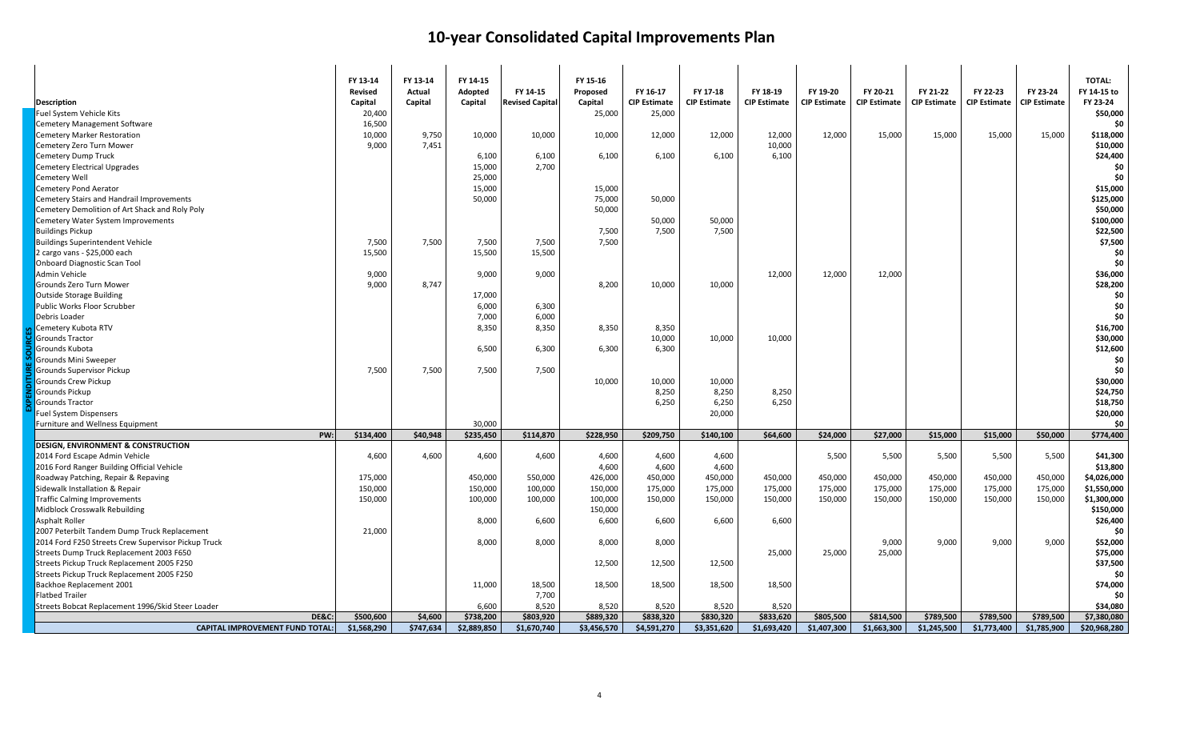| <b>Description</b>                                  | FY 13-14<br><b>Revised</b><br>Capital | FY 13-14<br>Actual<br>Capital | FY 14-15<br>Adopted<br>Capital | FY 14-15<br><b>Revised Capital</b> | FY 15-16<br>Proposed<br>Capital | FY 16-17<br><b>CIP Estimate</b> | FY 17-18<br><b>CIP Estimate</b> | FY 18-19<br><b>CIP Estimate</b> | FY 19-20<br><b>CIP Estimate</b> | FY 20-21<br><b>CIP Estimate</b> | FY 21-22<br><b>CIP Estimate</b> | FY 22-23<br><b>CIP Estimate</b> | FY 23-24<br><b>CIP Estimate</b> | TOTAL:<br>FY 14-15 to<br>FY 23-24 |
|-----------------------------------------------------|---------------------------------------|-------------------------------|--------------------------------|------------------------------------|---------------------------------|---------------------------------|---------------------------------|---------------------------------|---------------------------------|---------------------------------|---------------------------------|---------------------------------|---------------------------------|-----------------------------------|
| Fuel System Vehicle Kits                            | 20,400                                |                               |                                |                                    | 25,000                          | 25,000                          |                                 |                                 |                                 |                                 |                                 |                                 |                                 | \$50,000                          |
| <b>Cemetery Management Software</b>                 | 16,500                                |                               |                                |                                    |                                 |                                 |                                 |                                 |                                 |                                 |                                 |                                 |                                 | \$0                               |
| <b>Cemetery Marker Restoration</b>                  | 10,000                                | 9,750                         | 10,000                         | 10,000                             | 10,000                          | 12,000                          | 12,000                          | 12,000                          | 12,000                          | 15,000                          | 15,000                          | 15,000                          | 15,000                          | \$118,000                         |
| Cemetery Zero Turn Mower                            | 9,000                                 | 7,451                         |                                |                                    |                                 |                                 |                                 | 10,000                          |                                 |                                 |                                 |                                 |                                 | \$10,000                          |
| Cemetery Dump Truck                                 |                                       |                               | 6,100                          | 6,100                              | 6,100                           | 6,100                           | 6,100                           | 6,100                           |                                 |                                 |                                 |                                 |                                 | \$24,400                          |
| <b>Cemetery Electrical Upgrades</b>                 |                                       |                               | 15,000                         | 2,700                              |                                 |                                 |                                 |                                 |                                 |                                 |                                 |                                 |                                 | \$0                               |
| Cemetery Well                                       |                                       |                               | 25,000                         |                                    |                                 |                                 |                                 |                                 |                                 |                                 |                                 |                                 |                                 | \$0                               |
| <b>Cemetery Pond Aerator</b>                        |                                       |                               | 15,000                         |                                    | 15,000                          |                                 |                                 |                                 |                                 |                                 |                                 |                                 |                                 | \$15,000                          |
| Cemetery Stairs and Handrail Improvements           |                                       |                               | 50,000                         |                                    | 75,000                          | 50,000                          |                                 |                                 |                                 |                                 |                                 |                                 |                                 | \$125,000                         |
| Cemetery Demolition of Art Shack and Roly Poly      |                                       |                               |                                |                                    | 50,000                          |                                 |                                 |                                 |                                 |                                 |                                 |                                 |                                 | \$50,000                          |
| Cemetery Water System Improvements                  |                                       |                               |                                |                                    |                                 | 50,000                          | 50,000                          |                                 |                                 |                                 |                                 |                                 |                                 | \$100,000                         |
| <b>Buildings Pickup</b>                             |                                       |                               |                                |                                    | 7,500                           | 7,500                           | 7,500                           |                                 |                                 |                                 |                                 |                                 |                                 | \$22,500                          |
| <b>Buildings Superintendent Vehicle</b>             | 7,500                                 | 7,500                         | 7,500                          | 7,500                              | 7,500                           |                                 |                                 |                                 |                                 |                                 |                                 |                                 |                                 | \$7,500                           |
| 2 cargo vans - \$25,000 each                        | 15,500                                |                               | 15,500                         | 15,500                             |                                 |                                 |                                 |                                 |                                 |                                 |                                 |                                 |                                 | \$0                               |
| <b>Onboard Diagnostic Scan Tool</b>                 |                                       |                               |                                |                                    |                                 |                                 |                                 |                                 |                                 |                                 |                                 |                                 |                                 | \$0                               |
| Admin Vehicle                                       | 9,000                                 |                               | 9,000                          | 9,000                              |                                 |                                 |                                 | 12,000                          | 12,000                          | 12,000                          |                                 |                                 |                                 | \$36,000                          |
| Grounds Zero Turn Mower                             | 9,000                                 | 8,747                         |                                |                                    | 8,200                           | 10,000                          | 10,000                          |                                 |                                 |                                 |                                 |                                 |                                 | \$28,200                          |
| Outside Storage Building                            |                                       |                               | 17,000                         |                                    |                                 |                                 |                                 |                                 |                                 |                                 |                                 |                                 |                                 | \$0                               |
| Public Works Floor Scrubber                         |                                       |                               | 6,000                          | 6,300                              |                                 |                                 |                                 |                                 |                                 |                                 |                                 |                                 |                                 | \$0                               |
| Debris Loader                                       |                                       |                               | 7,000                          | 6,000                              |                                 |                                 |                                 |                                 |                                 |                                 |                                 |                                 |                                 | \$0                               |
| Cemetery Kubota RTV                                 |                                       |                               | 8,350                          | 8,350                              | 8,350                           | 8,350                           |                                 |                                 |                                 |                                 |                                 |                                 |                                 | \$16,700                          |
| <b>Grounds Tractor</b>                              |                                       |                               |                                |                                    |                                 | 10,000                          | 10,000                          | 10,000                          |                                 |                                 |                                 |                                 |                                 | \$30,000                          |
| Grounds Kubota                                      |                                       |                               | 6,500                          | 6,300                              | 6,300                           | 6,300                           |                                 |                                 |                                 |                                 |                                 |                                 |                                 | \$12,600                          |
| Grounds Mini Sweeper                                |                                       |                               |                                |                                    |                                 |                                 |                                 |                                 |                                 |                                 |                                 |                                 |                                 | \$0                               |
| Grounds Supervisor Pickup                           | 7,500                                 | 7,500                         | 7,500                          | 7,500                              |                                 |                                 |                                 |                                 |                                 |                                 |                                 |                                 |                                 | \$0                               |
| <b>Grounds Crew Pickup</b>                          |                                       |                               |                                |                                    | 10,000                          | 10,000                          | 10,000                          |                                 |                                 |                                 |                                 |                                 |                                 | \$30,000                          |
| Grounds Pickup                                      |                                       |                               |                                |                                    |                                 | 8,250                           | 8,250                           | 8,250                           |                                 |                                 |                                 |                                 |                                 | \$24,750                          |
| <b>Grounds Tractor</b>                              |                                       |                               |                                |                                    |                                 | 6,250                           | 6,250                           | 6,250                           |                                 |                                 |                                 |                                 |                                 | \$18,750                          |
| <b>Fuel System Dispensers</b>                       |                                       |                               |                                |                                    |                                 |                                 | 20,000                          |                                 |                                 |                                 |                                 |                                 |                                 | \$20,000                          |
| Furniture and Wellness Equipment                    |                                       |                               | 30,000                         |                                    |                                 |                                 |                                 |                                 |                                 |                                 |                                 |                                 |                                 | \$0                               |
| PW:                                                 | \$134,400                             | \$40,948                      | \$235,450                      | \$114,870                          | \$228,950                       | \$209,750                       | \$140,100                       | \$64,600                        | \$24,000                        | \$27,000                        | \$15,000                        | \$15,000                        | \$50,000                        | \$774,400                         |
| <b>DESIGN, ENVIRONMENT &amp; CONSTRUCTION</b>       |                                       |                               |                                |                                    |                                 |                                 |                                 |                                 |                                 |                                 |                                 |                                 |                                 |                                   |
| 2014 Ford Escape Admin Vehicle                      | 4,600                                 | 4,600                         | 4,600                          | 4,600                              | 4,600                           | 4,600                           | 4,600                           |                                 | 5,500                           | 5,500                           | 5,500                           | 5,500                           | 5,500                           | \$41,300                          |
| 2016 Ford Ranger Building Official Vehicle          |                                       |                               |                                |                                    | 4,600                           | 4,600                           | 4,600                           |                                 |                                 |                                 |                                 |                                 |                                 | \$13,800                          |
| Roadway Patching, Repair & Repaving                 | 175,000                               |                               | 450,000                        | 550,000                            | 426,000                         | 450,000                         | 450,000                         | 450,000                         | 450,000                         | 450,000                         | 450,000                         | 450,000                         | 450,000                         | \$4,026,000                       |
| Sidewalk Installation & Repair                      | 150,000                               |                               | 150,000                        | 100,000                            | 150,000                         | 175,000                         | 175,000                         | 175,000                         | 175,000                         | 175,000                         | 175,000                         | 175,000                         | 175,000                         | \$1,550,000                       |
| <b>Traffic Calming Improvements</b>                 | 150,000                               |                               | 100,000                        | 100,000                            | 100,000                         | 150,000                         | 150,000                         | 150,000                         | 150,000                         | 150,000                         | 150,000                         | 150,000                         | 150,000                         | \$1,300,000                       |
| Midblock Crosswalk Rebuilding                       |                                       |                               |                                |                                    | 150,000                         |                                 |                                 |                                 |                                 |                                 |                                 |                                 |                                 | \$150,000                         |
| <b>Asphalt Roller</b>                               |                                       |                               | 8,000                          | 6,600                              | 6,600                           | 6,600                           | 6,600                           | 6,600                           |                                 |                                 |                                 |                                 |                                 | \$26,400                          |
| 2007 Peterbilt Tandem Dump Truck Replacement        | 21,000                                |                               |                                |                                    |                                 |                                 |                                 |                                 |                                 |                                 |                                 |                                 |                                 | \$0                               |
| 2014 Ford F250 Streets Crew Supervisor Pickup Truck |                                       |                               | 8,000                          | 8,000                              | 8,000                           | 8,000                           |                                 |                                 |                                 | 9,000                           | 9,000                           | 9,000                           | 9,000                           | \$52,000                          |
| Streets Dump Truck Replacement 2003 F650            |                                       |                               |                                |                                    |                                 |                                 |                                 | 25,000                          | 25,000                          | 25,000                          |                                 |                                 |                                 | \$75,000                          |
| Streets Pickup Truck Replacement 2005 F250          |                                       |                               |                                |                                    | 12,500                          | 12,500                          | 12,500                          |                                 |                                 |                                 |                                 |                                 |                                 | \$37,500                          |
| Streets Pickup Truck Replacement 2005 F250          |                                       |                               |                                |                                    |                                 |                                 |                                 |                                 |                                 |                                 |                                 |                                 |                                 | \$0                               |
| Backhoe Replacement 2001                            |                                       |                               | 11,000                         | 18,500                             | 18,500                          | 18,500                          | 18,500                          | 18,500                          |                                 |                                 |                                 |                                 |                                 | \$74,000                          |
| <b>Flatbed Trailer</b>                              |                                       |                               |                                | 7,700                              |                                 |                                 |                                 |                                 |                                 |                                 |                                 |                                 |                                 | \$0                               |
| Streets Bobcat Replacement 1996/Skid Steer Loader   |                                       |                               | 6,600                          | 8,520                              | 8,520                           | 8,520                           | 8,520                           | 8,520                           |                                 |                                 |                                 |                                 |                                 | \$34,080                          |
| <b>DE&amp;C:</b>                                    | \$500,600                             | \$4,600                       | \$738,200                      | \$803,920                          | \$889,320                       | \$838,320                       | \$830,320                       | \$833,620                       | \$805,500                       | \$814,500                       | \$789,500                       | \$789,500                       | \$789,500                       | \$7,380,080                       |
| <b>CAPITAL IMPROVEMENT FUND TOTAL:</b>              | \$1,568,290                           | \$747,634                     | \$2,889,850                    | \$1,670,740                        | \$3,456,570                     | \$4,591,270                     | \$3,351,620                     | \$1,693,420                     | \$1,407,300                     | \$1,663,300                     | \$1,245,500                     | \$1,773,400                     | \$1,785,900                     | \$20,968,280                      |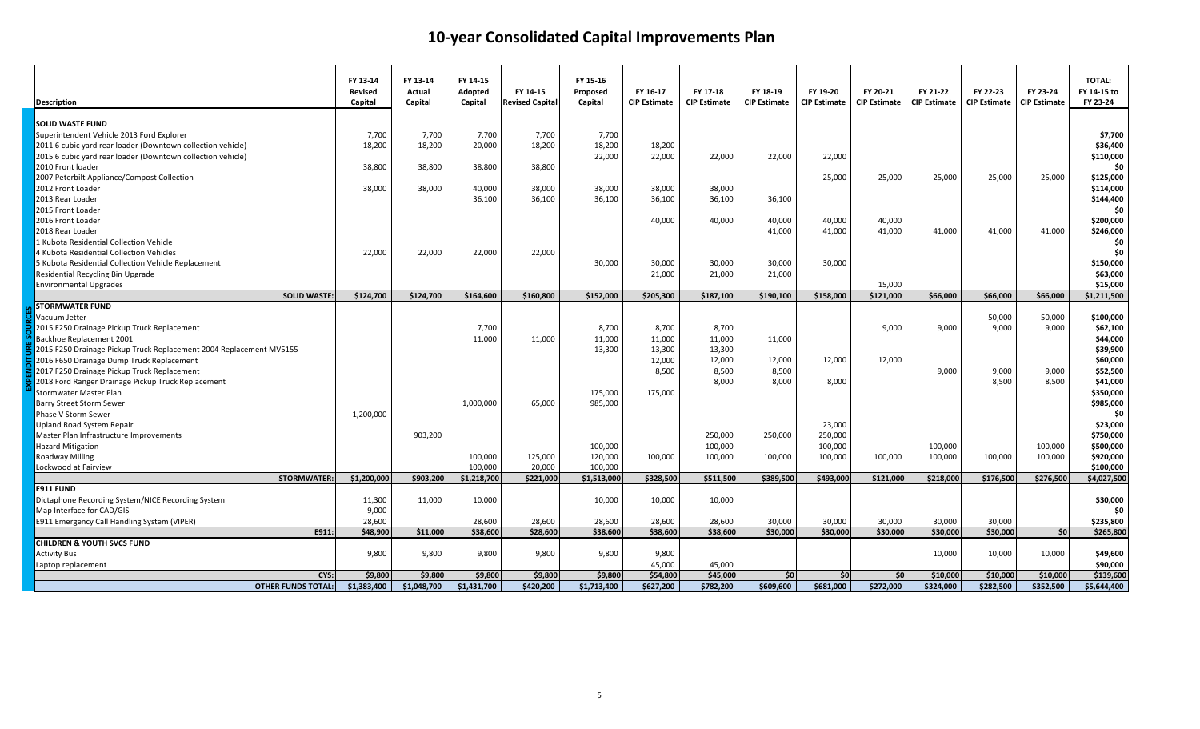| <b>Description</b>                                                  | FY 13-14<br>Revised<br>Capital | FY 13-14<br>Actual<br>Capital | FY 14-15<br>Adopted<br>Capital | FY 14-15<br><b>Revised Capital</b> | FY 15-16<br>Proposed<br>Capital | FY 16-17<br><b>CIP Estimate</b> | FY 17-18<br><b>CIP Estimate</b> | FY 18-19<br><b>CIP Estimate</b> | FY 19-20<br><b>CIP Estimate</b> | FY 20-21<br><b>CIP Estimate</b> | FY 21-22<br><b>CIP Estimate</b> | FY 22-23<br><b>CIP Estimate</b> | FY 23-24<br><b>CIP Estimate</b> | <b>TOTAL:</b><br>FY 14-15 to<br>FY 23-24 |
|---------------------------------------------------------------------|--------------------------------|-------------------------------|--------------------------------|------------------------------------|---------------------------------|---------------------------------|---------------------------------|---------------------------------|---------------------------------|---------------------------------|---------------------------------|---------------------------------|---------------------------------|------------------------------------------|
| <b>SOLID WASTE FUND</b>                                             |                                |                               |                                |                                    |                                 |                                 |                                 |                                 |                                 |                                 |                                 |                                 |                                 |                                          |
| Superintendent Vehicle 2013 Ford Explorer                           | 7,700                          | 7,700                         | 7,700                          | 7,700                              | 7,700                           |                                 |                                 |                                 |                                 |                                 |                                 |                                 |                                 | \$7,700                                  |
| 2011 6 cubic yard rear loader (Downtown collection vehicle)         | 18,200                         | 18,200                        | 20,000                         | 18,200                             | 18,200                          | 18,200                          |                                 |                                 |                                 |                                 |                                 |                                 |                                 | \$36,400                                 |
| 2015 6 cubic yard rear loader (Downtown collection vehicle)         |                                |                               |                                |                                    | 22,000                          | 22,000                          | 22,000                          | 22,000                          | 22,000                          |                                 |                                 |                                 |                                 | \$110,000                                |
| 2010 Front loader                                                   | 38,800                         | 38,800                        | 38,800                         | 38,800                             |                                 |                                 |                                 |                                 |                                 |                                 |                                 |                                 |                                 | \$0                                      |
| 2007 Peterbilt Appliance/Compost Collection                         |                                |                               |                                |                                    |                                 |                                 |                                 |                                 | 25,000                          | 25,000                          | 25,000                          | 25,000                          | 25,000                          | \$125,000                                |
| 2012 Front Loader                                                   | 38,000                         | 38,000                        | 40,000                         | 38,000                             | 38,000                          | 38,000                          | 38,000                          |                                 |                                 |                                 |                                 |                                 |                                 | \$114,000                                |
| 2013 Rear Loader                                                    |                                |                               | 36,100                         | 36,100                             | 36,100                          | 36,100                          | 36,100                          | 36,100                          |                                 |                                 |                                 |                                 |                                 | \$144,400                                |
| 2015 Front Loader                                                   |                                |                               |                                |                                    |                                 |                                 |                                 |                                 |                                 |                                 |                                 |                                 |                                 | \$0                                      |
| 2016 Front Loader                                                   |                                |                               |                                |                                    |                                 | 40,000                          | 40,000                          | 40,000                          | 40,000                          | 40,000                          |                                 |                                 |                                 | \$200,000                                |
| 2018 Rear Loader                                                    |                                |                               |                                |                                    |                                 |                                 |                                 | 41,000                          | 41,000                          | 41,000                          | 41,000                          | 41,000                          | 41,000                          | \$246,000                                |
| 1 Kubota Residential Collection Vehicle                             |                                |                               |                                |                                    |                                 |                                 |                                 |                                 |                                 |                                 |                                 |                                 |                                 | \$0                                      |
| 4 Kubota Residential Collection Vehicles                            | 22,000                         | 22,000                        | 22,000                         | 22,000                             |                                 |                                 |                                 |                                 |                                 |                                 |                                 |                                 |                                 | \$0                                      |
| 5 Kubota Residential Collection Vehicle Replacement                 |                                |                               |                                |                                    | 30,000                          | 30,000                          | 30,000                          | 30,000                          | 30,000                          |                                 |                                 |                                 |                                 | \$150,000                                |
| Residential Recycling Bin Upgrade                                   |                                |                               |                                |                                    |                                 | 21,000                          | 21,000                          | 21,000                          |                                 |                                 |                                 |                                 |                                 | \$63,000                                 |
| <b>Environmental Upgrades</b>                                       |                                |                               |                                |                                    |                                 |                                 |                                 |                                 |                                 | 15,000                          |                                 |                                 |                                 | \$15,000                                 |
| <b>SOLID WASTE:</b>                                                 | \$124,700                      | \$124,700                     | \$164,600                      | \$160,800                          | \$152,000                       | \$205,300                       | \$187,100                       | \$190,100                       | \$158,000                       | \$121,000                       | \$66,000                        | \$66,000                        | \$66,000                        | \$1,211,500                              |
| <b>STORMWATER FUND</b>                                              |                                |                               |                                |                                    |                                 |                                 |                                 |                                 |                                 |                                 |                                 |                                 |                                 |                                          |
| Vacuum Jetter                                                       |                                |                               |                                |                                    |                                 |                                 |                                 |                                 |                                 |                                 |                                 | 50,000                          | 50,000                          | \$100,000                                |
| 2015 F250 Drainage Pickup Truck Replacement                         |                                |                               | 7,700                          |                                    | 8,700                           | 8,700                           | 8,700                           |                                 |                                 | 9,000                           | 9,000                           | 9,000                           | 9,000                           | \$62,100                                 |
| Backhoe Replacement 2001                                            |                                |                               | 11,000                         | 11,000                             | 11,000                          | 11,000                          | 11,000                          | 11,000                          |                                 |                                 |                                 |                                 |                                 | \$44,000                                 |
| 2015 F250 Drainage Pickup Truck Replacement 2004 Replacement MV5155 |                                |                               |                                |                                    | 13,300                          | 13,300                          | 13,300                          |                                 |                                 |                                 |                                 |                                 |                                 | \$39,900                                 |
| 2016 F650 Drainage Dump Truck Replacement                           |                                |                               |                                |                                    |                                 | 12,000                          | 12,000                          | 12,000                          | 12,000                          | 12,000                          |                                 |                                 |                                 | \$60,000                                 |
| 2017 F250 Drainage Pickup Truck Replacement                         |                                |                               |                                |                                    |                                 | 8,500                           | 8,500                           | 8,500                           |                                 |                                 | 9,000                           | 9,000                           | 9,000                           | \$52,500                                 |
| 2018 Ford Ranger Drainage Pickup Truck Replacement                  |                                |                               |                                |                                    |                                 |                                 | 8,000                           | 8,000                           | 8,000                           |                                 |                                 | 8,500                           | 8,500                           | \$41,000                                 |
| Stormwater Master Plan                                              |                                |                               |                                |                                    | 175,000                         | 175,000                         |                                 |                                 |                                 |                                 |                                 |                                 |                                 | \$350,000                                |
| <b>Barry Street Storm Sewer</b>                                     |                                |                               | 1,000,000                      | 65,000                             | 985,000                         |                                 |                                 |                                 |                                 |                                 |                                 |                                 |                                 | \$985,000                                |
| <b>Phase V Storm Sewer</b>                                          | 1,200,000                      |                               |                                |                                    |                                 |                                 |                                 |                                 |                                 |                                 |                                 |                                 |                                 | \$0                                      |
| Upland Road System Repair                                           |                                |                               |                                |                                    |                                 |                                 |                                 |                                 | 23,000                          |                                 |                                 |                                 |                                 | \$23,000                                 |
| Master Plan Infrastructure Improvements                             |                                | 903,200                       |                                |                                    |                                 |                                 | 250,000                         | 250,000                         | 250,000                         |                                 |                                 |                                 |                                 | \$750,000                                |
| <b>Hazard Mitigation</b>                                            |                                |                               |                                |                                    | 100,000                         |                                 | 100,000                         |                                 | 100,000                         |                                 | 100,000                         |                                 | 100,000                         | \$500,000                                |
| Roadway Milling                                                     |                                |                               | 100,000                        | 125,000                            | 120,000                         | 100,000                         | 100,000                         | 100,000                         | 100,000                         | 100,000                         | 100,000                         | 100,000                         | 100,000                         | \$920,000                                |
| Lockwood at Fairview                                                |                                |                               | 100,000                        | 20,000                             | 100,000                         |                                 |                                 |                                 |                                 |                                 |                                 |                                 |                                 | \$100,000                                |
| STORMWATER:                                                         | \$1,200,000                    | \$903,200                     | \$1,218,700                    | \$221,000                          | \$1,513,000                     | \$328,500                       | \$511,500                       | \$389,500                       | \$493,000                       | \$121,000                       | \$218,000                       | \$176,500                       | \$276,500                       | \$4,027,500                              |
| E911 FUND                                                           |                                |                               |                                |                                    |                                 |                                 |                                 |                                 |                                 |                                 |                                 |                                 |                                 |                                          |
| Dictaphone Recording System/NICE Recording System                   | 11,300                         | 11,000                        | 10,000                         |                                    | 10,000                          | 10,000                          | 10,000                          |                                 |                                 |                                 |                                 |                                 |                                 | \$30,000                                 |
| Map Interface for CAD/GIS                                           | 9,000                          |                               |                                |                                    |                                 |                                 |                                 |                                 |                                 |                                 |                                 |                                 |                                 | \$0                                      |
| E911 Emergency Call Handling System (VIPER)                         | 28,600                         |                               | 28,600                         | 28,600                             | 28,600                          | 28,600                          | 28,600                          | 30.000                          | 30,000                          | 30,000                          | 30,000                          | 30,000                          |                                 | \$235,800                                |
| E911:                                                               | \$48,900                       | \$11,000                      | \$38,600                       | \$28,600                           | \$38,600                        | \$38,600                        | \$38,600                        | \$30,000                        | \$30,000                        | \$30,000                        | \$30,000                        | \$30,000                        | sol                             | \$265,800                                |
| <b>CHILDREN &amp; YOUTH SVCS FUND</b>                               |                                |                               |                                |                                    |                                 |                                 |                                 |                                 |                                 |                                 |                                 |                                 |                                 |                                          |
| <b>Activity Bus</b>                                                 | 9,800                          | 9,800                         | 9,800                          | 9,800                              | 9,800                           | 9,800                           |                                 |                                 |                                 |                                 | 10,000                          | 10,000                          | 10,000                          | \$49,600                                 |
| Laptop replacement                                                  |                                |                               |                                |                                    |                                 | 45,000                          | 45.000                          |                                 |                                 |                                 |                                 |                                 |                                 | \$90,000                                 |
| CYS:                                                                | \$9,800                        | \$9,800                       | \$9,800                        | \$9,800                            | \$9,800                         | \$54,800                        | \$45,000                        | sol                             | \$0                             | 50                              | \$10,000                        | \$10,000                        | \$10,000                        | \$139,600                                |
| <b>OTHER FUNDS TOTAL:</b>                                           | \$1,383,400                    | \$1,048,700                   | \$1,431,700                    | \$420,200                          | \$1,713,400                     | \$627,200                       | \$782,200                       | \$609,600                       | \$681,000                       | \$272,000                       | \$324,000                       | \$282,500                       | \$352,500                       | \$5,644,400                              |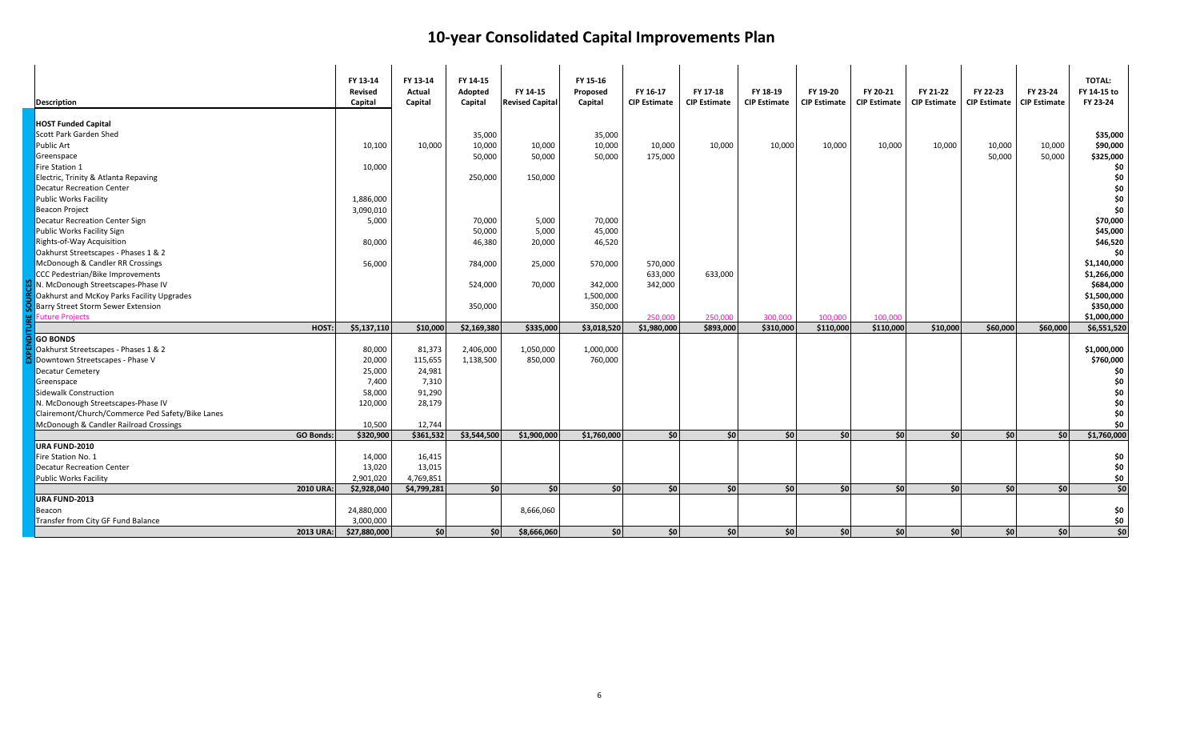| <b>Description</b>                               | FY 13-14<br><b>Revised</b><br>Capital | FY 13-14<br>Actual<br>Capital | FY 14-15<br>Adopted<br>Capital | FY 14-15<br><b>Revised Capital</b> | FY 15-16<br>Proposed<br>Capital | FY 16-17<br><b>CIP Estimate</b> | FY 17-18<br><b>CIP Estimate</b> | FY 18-19<br><b>CIP Estimate</b> | FY 19-20<br><b>CIP Estimate</b> | FY 20-21<br><b>CIP Estimate</b> | FY 21-22<br><b>CIP Estimate</b> | FY 22-23<br><b>CIP Estimate</b> | FY 23-24<br><b>CIP Estimate</b> | <b>TOTAL:</b><br>FY 14-15 to<br>FY 23-24 |
|--------------------------------------------------|---------------------------------------|-------------------------------|--------------------------------|------------------------------------|---------------------------------|---------------------------------|---------------------------------|---------------------------------|---------------------------------|---------------------------------|---------------------------------|---------------------------------|---------------------------------|------------------------------------------|
| <b>HOST Funded Capital</b>                       |                                       |                               |                                |                                    |                                 |                                 |                                 |                                 |                                 |                                 |                                 |                                 |                                 |                                          |
| Scott Park Garden Shed                           |                                       |                               | 35,000                         |                                    | 35,000                          |                                 |                                 |                                 |                                 |                                 |                                 |                                 |                                 | \$35,000                                 |
| Public Art                                       | 10,100                                | 10,000                        | 10,000                         | 10,000                             | 10,000                          | 10,000                          | 10,000                          | 10,000                          | 10,000                          | 10,000                          | 10,000                          | 10,000                          | 10,000                          | \$90,000                                 |
| Greenspace                                       |                                       |                               | 50,000                         | 50,000                             | 50,000                          | 175,000                         |                                 |                                 |                                 |                                 |                                 | 50,000                          | 50,000                          | \$325,000                                |
| Fire Station 1                                   | 10,000                                |                               |                                |                                    |                                 |                                 |                                 |                                 |                                 |                                 |                                 |                                 |                                 | \$0                                      |
| Electric, Trinity & Atlanta Repaving             |                                       |                               | 250,000                        | 150,000                            |                                 |                                 |                                 |                                 |                                 |                                 |                                 |                                 |                                 | \$0                                      |
| <b>Decatur Recreation Center</b>                 |                                       |                               |                                |                                    |                                 |                                 |                                 |                                 |                                 |                                 |                                 |                                 |                                 | \$0                                      |
| <b>Public Works Facility</b>                     | 1,886,000                             |                               |                                |                                    |                                 |                                 |                                 |                                 |                                 |                                 |                                 |                                 |                                 | \$0                                      |
| <b>Beacon Project</b>                            | 3,090,010                             |                               |                                |                                    |                                 |                                 |                                 |                                 |                                 |                                 |                                 |                                 |                                 | \$0                                      |
| Decatur Recreation Center Sign                   | 5,000                                 |                               | 70,000                         | 5,000                              | 70,000                          |                                 |                                 |                                 |                                 |                                 |                                 |                                 |                                 | \$70,000                                 |
| Public Works Facility Sign                       |                                       |                               | 50,000                         | 5,000                              | 45,000                          |                                 |                                 |                                 |                                 |                                 |                                 |                                 |                                 | \$45,000                                 |
| Rights-of-Way Acquisition                        | 80,000                                |                               | 46,380                         | 20,000                             | 46,520                          |                                 |                                 |                                 |                                 |                                 |                                 |                                 |                                 | \$46,520                                 |
| Oakhurst Streetscapes - Phases 1 & 2             |                                       |                               |                                |                                    |                                 |                                 |                                 |                                 |                                 |                                 |                                 |                                 |                                 | \$0                                      |
| McDonough & Candler RR Crossings                 | 56,000                                |                               | 784,000                        | 25,000                             | 570,000                         | 570,000                         |                                 |                                 |                                 |                                 |                                 |                                 |                                 | \$1,140,000                              |
| <b>CCC Pedestrian/Bike Improvements</b>          |                                       |                               |                                |                                    |                                 | 633,000                         | 633,000                         |                                 |                                 |                                 |                                 |                                 |                                 | \$1,266,000                              |
| N. McDonough Streetscapes-Phase IV               |                                       |                               | 524,000                        | 70,000                             | 342,000                         | 342,000                         |                                 |                                 |                                 |                                 |                                 |                                 |                                 | \$684,000                                |
| Oakhurst and McKoy Parks Facility Upgrades       |                                       |                               |                                |                                    | 1,500,000                       |                                 |                                 |                                 |                                 |                                 |                                 |                                 |                                 | \$1,500,000                              |
| Barry Street Storm Sewer Extension               |                                       |                               | 350,000                        |                                    | 350,000                         |                                 |                                 |                                 |                                 |                                 |                                 |                                 |                                 | \$350,000                                |
| <b>Euture Projects</b>                           |                                       |                               |                                |                                    |                                 | 250,000                         | 250,000                         | 300.000                         | 100.000                         | 100,000                         |                                 |                                 |                                 | \$1,000,000                              |
| HOST:                                            | \$5,137,110                           | \$10,000                      | \$2,169,380                    | \$335,000                          | \$3,018,520                     | \$1,980,000                     | \$893,000                       | \$310,000                       | \$110,000                       | \$110,000                       | \$10,000                        | \$60,000                        | \$60,000                        | \$6,551,520                              |
| <b>GO BONDS</b>                                  |                                       |                               |                                |                                    |                                 |                                 |                                 |                                 |                                 |                                 |                                 |                                 |                                 |                                          |
| Oakhurst Streetscapes - Phases 1 & 2             | 80,000                                | 81,373                        | 2,406,000                      | 1,050,000                          | 1,000,000                       |                                 |                                 |                                 |                                 |                                 |                                 |                                 |                                 | \$1,000,000                              |
| Downtown Streetscapes - Phase V                  | 20,000                                | 115,655                       | 1,138,500                      | 850,000                            | 760,000                         |                                 |                                 |                                 |                                 |                                 |                                 |                                 |                                 | \$760,000                                |
| Decatur Cemetery                                 | 25,000                                | 24,981                        |                                |                                    |                                 |                                 |                                 |                                 |                                 |                                 |                                 |                                 |                                 | \$0                                      |
| Greenspace                                       | 7,400                                 | 7,310                         |                                |                                    |                                 |                                 |                                 |                                 |                                 |                                 |                                 |                                 |                                 | \$0                                      |
| Sidewalk Construction                            | 58,000                                | 91,290                        |                                |                                    |                                 |                                 |                                 |                                 |                                 |                                 |                                 |                                 |                                 | \$0                                      |
| N. McDonough Streetscapes-Phase IV               | 120,000                               | 28,179                        |                                |                                    |                                 |                                 |                                 |                                 |                                 |                                 |                                 |                                 |                                 | \$0                                      |
| Clairemont/Church/Commerce Ped Safety/Bike Lanes |                                       |                               |                                |                                    |                                 |                                 |                                 |                                 |                                 |                                 |                                 |                                 |                                 | \$0                                      |
| McDonough & Candler Railroad Crossings           | 10,500                                | 12,744                        |                                |                                    |                                 |                                 |                                 |                                 |                                 |                                 |                                 |                                 |                                 | \$0                                      |
| <b>GO Bonds:</b>                                 | \$320,900                             | \$361,532                     | \$3.544.500                    | \$1,900,000                        | \$1,760,000                     | SO I                            | SO I                            | SO                              | \$0                             | SO                              | \$0                             | SO                              | sol                             | \$1,760,000                              |
| URA FUND-2010                                    |                                       |                               |                                |                                    |                                 |                                 |                                 |                                 |                                 |                                 |                                 |                                 |                                 |                                          |
| Fire Station No. 1                               | 14,000                                | 16,415                        |                                |                                    |                                 |                                 |                                 |                                 |                                 |                                 |                                 |                                 |                                 | \$0                                      |
| <b>Decatur Recreation Center</b>                 | 13,020                                | 13,015                        |                                |                                    |                                 |                                 |                                 |                                 |                                 |                                 |                                 |                                 |                                 | \$0                                      |
| <b>Public Works Facility</b>                     | 2,901,020                             | 4,769,851                     |                                |                                    |                                 |                                 |                                 |                                 |                                 |                                 |                                 |                                 |                                 | \$0                                      |
| 2010 URA:                                        | \$2,928,040                           | \$4,799,281                   | \$0                            | $ $ so                             | 50                              | <b>SO</b>                       | sol                             | sol                             | \$0                             | sol                             | sol                             | sol                             | SO <sup>I</sup>                 | \$0                                      |
| URA FUND-2013                                    |                                       |                               |                                |                                    |                                 |                                 |                                 |                                 |                                 |                                 |                                 |                                 |                                 |                                          |
| Beacon                                           | 24,880,000                            |                               |                                | 8,666,060                          |                                 |                                 |                                 |                                 |                                 |                                 |                                 |                                 |                                 | \$0                                      |
| Transfer from City GF Fund Balance               | 3,000,000                             |                               |                                |                                    |                                 |                                 |                                 |                                 |                                 |                                 |                                 |                                 |                                 | \$0                                      |
| 2013 URA:                                        | \$27,880,000                          | sol                           | \$0                            | \$8,666,060                        | \$0                             | 50                              | 50                              | sol                             | \$0                             | SO                              | \$0                             | sol                             | 50                              | \$0                                      |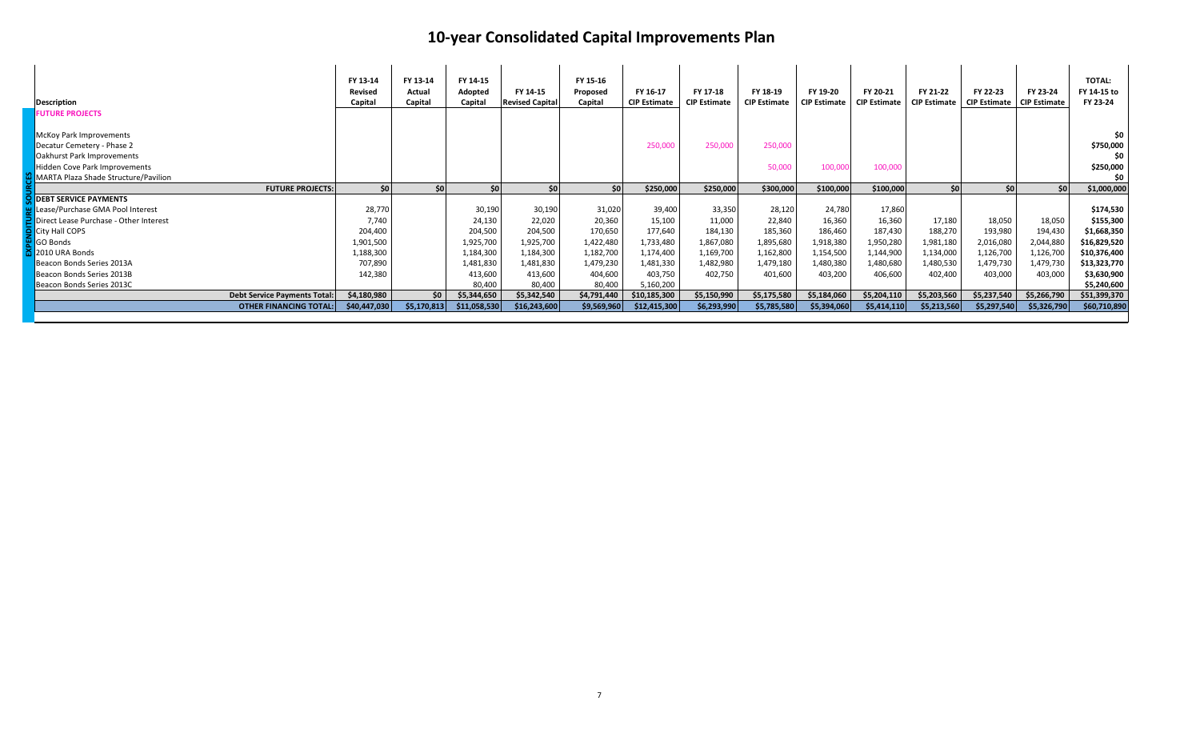| Description                            |                               | FY 13-14<br>Revised<br>Capital | FY 13-14<br>Actual<br>Capital | FY 14-15<br>Adopted<br>Capital | FY 14-15<br><b>Revised Capital</b> | FY 15-16<br>Proposed<br>Capital | FY 16-17<br><b>CIP Estimate</b> | FY 17-18<br><b>CIP Estimate</b> | FY 18-19<br><b>CIP Estimate</b> | FY 19-20<br><b>CIP Estimate</b> | FY 20-21<br><b>CIP Estimate</b> | FY 21-22<br><b>CIP Estimate</b> | FY 22-23<br><b>CIP Estimate</b> | FY 23-24<br><b>CIP Estimate</b> | <b>TOTAL:</b><br>FY 14-15 to<br>FY 23-24 |
|----------------------------------------|-------------------------------|--------------------------------|-------------------------------|--------------------------------|------------------------------------|---------------------------------|---------------------------------|---------------------------------|---------------------------------|---------------------------------|---------------------------------|---------------------------------|---------------------------------|---------------------------------|------------------------------------------|
| <b>FUTURE PROJECTS</b>                 |                               |                                |                               |                                |                                    |                                 |                                 |                                 |                                 |                                 |                                 |                                 |                                 |                                 |                                          |
| McKoy Park Improvements                |                               |                                |                               |                                |                                    |                                 |                                 |                                 |                                 |                                 |                                 |                                 |                                 |                                 | \$0                                      |
| Decatur Cemetery - Phase 2             |                               |                                |                               |                                |                                    |                                 | 250,000                         | 250,000                         | 250,000                         |                                 |                                 |                                 |                                 |                                 | \$750,000                                |
| Oakhurst Park Improvements             |                               |                                |                               |                                |                                    |                                 |                                 |                                 |                                 |                                 |                                 |                                 |                                 |                                 | \$0                                      |
| Hidden Cove Park Improvements          |                               |                                |                               |                                |                                    |                                 |                                 |                                 | 50,000                          | 100,000                         | 100,000                         |                                 |                                 |                                 | \$250,000                                |
| MARTA Plaza Shade Structure/Pavilion   |                               |                                |                               |                                |                                    |                                 |                                 |                                 |                                 |                                 |                                 |                                 |                                 |                                 | \$0                                      |
|                                        | <b>FUTURE PROJECTS:</b>       | \$0                            | s٥l                           | \$0                            | <b>SO</b>                          | \$0 <sub>0</sub>                | \$250,000                       | \$250,000                       | \$300,000                       | \$100,000                       | \$100,000                       | \$0                             | \$0                             | <b>SO</b>                       | \$1,000,000                              |
| <b>DEBT SERVICE PAYMENTS</b>           |                               |                                |                               |                                |                                    |                                 |                                 |                                 |                                 |                                 |                                 |                                 |                                 |                                 |                                          |
| Lease/Purchase GMA Pool Interest       |                               | 28,770                         |                               | 30,190                         | 30,190                             | 31,020                          | 39,400                          | 33,350                          | 28,120                          | 24,780                          | 17,860                          |                                 |                                 |                                 | \$174,530                                |
| Direct Lease Purchase - Other Interest |                               | 7,740                          |                               | 24,130                         | 22,020                             | 20,360                          | 15,100                          | 11,000                          | 22,840                          | 16,360                          | 16,360                          | 17,180                          | 18,050                          | 18,050                          | \$155,300                                |
| City Hall COPS                         |                               | 204,400                        |                               | 204,500                        | 204,500                            | 170,650                         | 177,640                         | 184,130                         | 185,360                         | 186,460                         | 187,430                         | 188,270                         | 193,980                         | 194,430                         | \$1,668,350                              |
| GO Bonds                               |                               | 1,901,500                      |                               | 1,925,700                      | 1,925,700                          | 1,422,480                       | 1,733,480                       | 1,867,080                       | 1,895,680                       | 1,918,380                       | 1,950,280                       | 1,981,180                       | 2,016,080                       | 2,044,880                       | \$16,829,520                             |
| 2010 URA Bonds                         |                               | 1,188,300                      |                               | 1,184,300                      | 1,184,300                          | 1,182,700                       | 1,174,400                       | 1,169,700                       | 1,162,800                       | 1,154,500                       | 1,144,900                       | 1,134,000                       | 1,126,700                       | 1,126,700                       | \$10,376,400                             |
| Beacon Bonds Series 2013A              |                               | 707,890                        |                               | 1,481,830                      | 1,481,830                          | 1,479,230                       | 1,481,330                       | 1,482,980                       | 1,479,180                       | 1,480,380                       | 1,480,680                       | 1,480,530                       | 1,479,730                       | 1,479,730                       | \$13,323,770                             |
| Beacon Bonds Series 2013B              |                               | 142,380                        |                               | 413,600                        | 413,600                            | 404,600                         | 403,750                         | 402,750                         | 401,600                         | 403,200                         | 406,600                         | 402,400                         | 403,000                         | 403,000                         | \$3,630,900                              |
| Beacon Bonds Series 2013C              |                               |                                |                               | 80,400                         | 80,400                             | 80,400                          | 5,160,200                       |                                 |                                 |                                 |                                 |                                 |                                 |                                 | \$5,240,600                              |
|                                        | Debt Service Payments Total:  | \$4,180,980                    | \$0                           | \$5,344,650                    | \$5,342,540                        | \$4,791,440                     | \$10,185,300                    | \$5,150,990                     | \$5,175,580                     | \$5,184,060                     | \$5,204,110                     | \$5,203,560                     | \$5,237,540                     | \$5,266,790                     | \$51,399,370                             |
|                                        | <b>OTHER FINANCING TOTAL:</b> | \$40,447,030                   | \$5,170,813                   | \$11,058,530                   | \$16,243,600                       | \$9,569,960                     | \$12,415,300                    | \$6,293,990                     | \$5,785,580                     | \$5,394,060                     | \$5,414,110                     | \$5,213,560                     | \$5,297,540                     | \$5,326,790                     | \$60,710,890                             |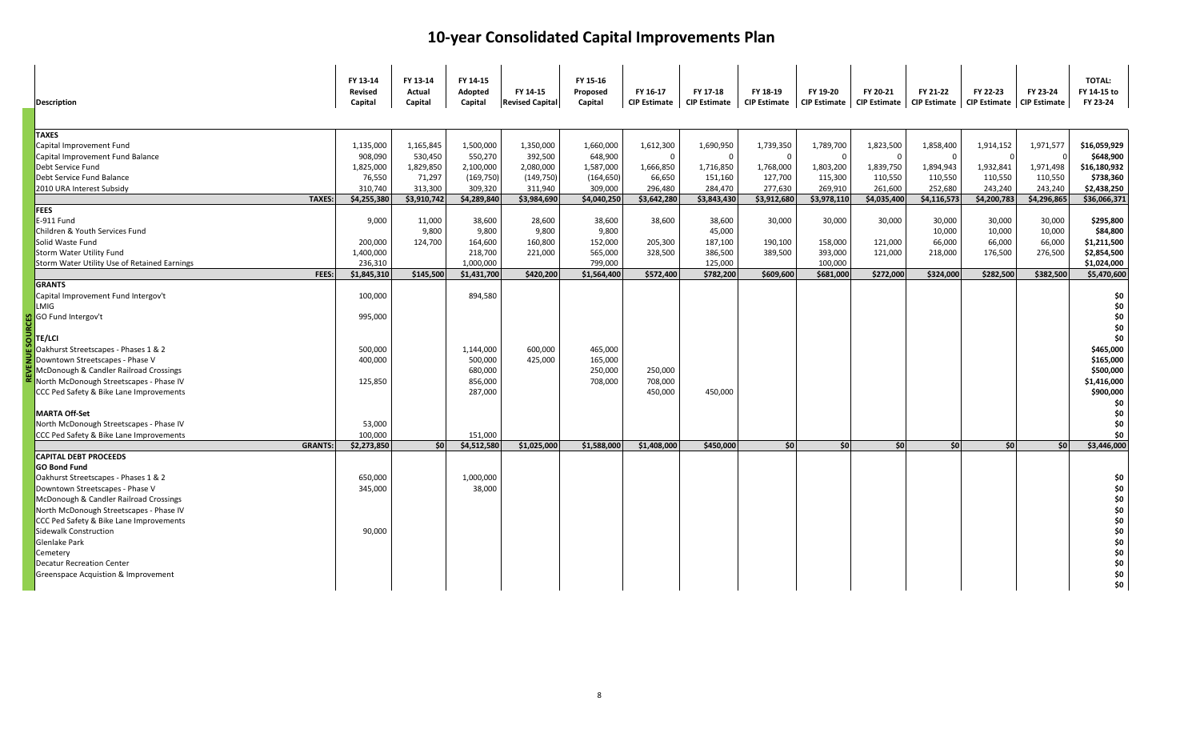| <b>Description</b>                           | FY 13-14<br><b>Revised</b><br>Capital | FY 13-14<br>Actual<br>Capital | FY 14-15<br>Adopted<br>Capital | FY 14-15<br><b>Revised Capital</b> | FY 15-16<br>Proposed<br>Capital | FY 16-17<br><b>CIP Estimate</b> | FY 17-18<br><b>CIP Estimate</b> | FY 18-19<br><b>CIP Estimate</b> | FY 19-20    | FY 20-21<br>CIP Estimate   CIP Estimate   CIP Estimate   CIP Estimate | FY 21-22    | FY 22-23    | FY 23-24<br><b>CIP Estimate</b> | <b>TOTAL:</b><br>FY 14-15 to<br>FY 23-24 |
|----------------------------------------------|---------------------------------------|-------------------------------|--------------------------------|------------------------------------|---------------------------------|---------------------------------|---------------------------------|---------------------------------|-------------|-----------------------------------------------------------------------|-------------|-------------|---------------------------------|------------------------------------------|
| <b>TAXES</b>                                 |                                       |                               |                                |                                    |                                 |                                 |                                 |                                 |             |                                                                       |             |             |                                 |                                          |
| Capital Improvement Fund                     | 1,135,000                             | 1,165,845                     | 1,500,000                      | 1,350,000                          | 1,660,000                       | 1,612,300                       | 1,690,950                       | 1,739,350                       | 1,789,700   | 1,823,500                                                             | 1,858,400   | 1,914,152   | 1,971,577                       | \$16,059,929                             |
| Capital Improvement Fund Balance             | 908,090                               | 530,450                       | 550,270                        | 392,500                            | 648,900                         | $\Omega$                        | $\mathbf 0$                     | $\Omega$                        | - 0         | $\Omega$                                                              | - 0         |             |                                 | \$648,900                                |
| Debt Service Fund                            | 1,825,000                             | 1,829,850                     | 2,100,000                      | 2,080,000                          | 1,587,000                       | 1,666,850                       | 1,716,850                       | 1,768,000                       | 1,803,200   | 1,839,750                                                             | 1,894,943   | 1,932,841   | 1,971,498                       | \$16,180,932                             |
| Debt Service Fund Balance                    | 76,550                                | 71,297                        | (169, 750)                     | (149, 750)                         | (164, 650)                      | 66,650                          | 151,160                         | 127,700                         | 115,300     | 110,550                                                               | 110,550     | 110,550     | 110,550                         | \$738,360                                |
| 2010 URA Interest Subsidy                    | 310,740                               | 313,300                       | 309,320                        | 311,940                            | 309,000                         | 296,480                         | 284,470                         | 277,630                         | 269,910     | 261,600                                                               | 252,680     | 243,240     | 243,240                         | \$2,438,250                              |
| <b>TAXES:</b>                                | \$4,255,380                           | \$3,910,742                   | \$4,289,840                    | \$3,984,690                        | \$4,040,250                     | \$3,642,280                     | \$3,843,430                     | \$3,912,680                     | \$3,978,110 | \$4,035,400                                                           | \$4,116,573 | \$4,200,783 | \$4,296,865                     | \$36,066,371                             |
| <b>FEES</b>                                  |                                       |                               |                                |                                    |                                 |                                 |                                 |                                 |             |                                                                       |             |             |                                 |                                          |
| E-911 Fund                                   | 9,000                                 | 11,000                        | 38,600                         | 28,600                             | 38,600                          | 38,600                          | 38,600                          | 30,000                          | 30,000      | 30,000                                                                | 30,000      | 30,000      | 30,000                          | \$295,800                                |
| Children & Youth Services Fund               |                                       | 9,800                         | 9,800                          | 9,800                              | 9,800                           |                                 | 45,000                          |                                 |             |                                                                       | 10,000      | 10,000      | 10,000                          | \$84,800                                 |
| Solid Waste Fund                             | 200,000                               | 124,700                       | 164,600                        | 160,800                            | 152,000                         | 205,300                         | 187,100                         | 190,100                         | 158,000     | 121,000                                                               | 66,000      | 66,000      | 66,000                          | \$1,211,500                              |
| Storm Water Utility Fund                     | 1,400,000                             |                               | 218,700                        | 221,000                            | 565,000                         | 328,500                         | 386,500                         | 389,500                         | 393,000     | 121,000                                                               | 218,000     | 176,500     | 276,500                         | \$2,854,500                              |
| Storm Water Utility Use of Retained Earnings | 236,310                               |                               | 1,000,000                      |                                    | 799,000                         |                                 | 125,000                         |                                 | 100,000     |                                                                       |             |             |                                 | \$1,024,000                              |
| FEES:                                        | \$1,845,310                           | \$145,500                     | \$1,431,700                    | \$420,200                          | \$1,564,400                     | \$572,400                       | \$782,200                       | \$609,600                       | \$681,000   | \$272,000                                                             | \$324,000   | \$282,500   | \$382,500                       | \$5,470,600                              |
| <b>GRANTS</b>                                |                                       |                               |                                |                                    |                                 |                                 |                                 |                                 |             |                                                                       |             |             |                                 |                                          |
| Capital Improvement Fund Intergov't          | 100,000                               |                               | 894,580                        |                                    |                                 |                                 |                                 |                                 |             |                                                                       |             |             |                                 | \$0                                      |
| LMIG                                         |                                       |                               |                                |                                    |                                 |                                 |                                 |                                 |             |                                                                       |             |             |                                 | \$0                                      |
| GO Fund Intergov't                           | 995,000                               |                               |                                |                                    |                                 |                                 |                                 |                                 |             |                                                                       |             |             |                                 | \$0                                      |
|                                              |                                       |                               |                                |                                    |                                 |                                 |                                 |                                 |             |                                                                       |             |             |                                 | \$0                                      |
| TE/LCI                                       |                                       |                               |                                |                                    |                                 |                                 |                                 |                                 |             |                                                                       |             |             |                                 | \$0                                      |
| Oakhurst Streetscapes - Phases 1 & 2         | 500,000                               |                               | 1,144,000                      | 600,000                            | 465,000                         |                                 |                                 |                                 |             |                                                                       |             |             |                                 | \$465,000                                |
| Downtown Streetscapes - Phase V              | 400,000                               |                               | 500,000                        | 425,000                            | 165,000                         |                                 |                                 |                                 |             |                                                                       |             |             |                                 | \$165,000                                |
| McDonough & Candler Railroad Crossings       |                                       |                               | 680,000                        |                                    | 250,000                         | 250,000                         |                                 |                                 |             |                                                                       |             |             |                                 | \$500,000                                |
| North McDonough Streetscapes - Phase IV      | 125,850                               |                               | 856,000                        |                                    | 708,000                         | 708,000                         |                                 |                                 |             |                                                                       |             |             |                                 | \$1,416,000                              |
| CCC Ped Safety & Bike Lane Improvements      |                                       |                               | 287,000                        |                                    |                                 | 450,000                         | 450,000                         |                                 |             |                                                                       |             |             |                                 | \$900,000                                |
|                                              |                                       |                               |                                |                                    |                                 |                                 |                                 |                                 |             |                                                                       |             |             |                                 | \$0                                      |
| <b>MARTA Off-Set</b>                         |                                       |                               |                                |                                    |                                 |                                 |                                 |                                 |             |                                                                       |             |             |                                 | \$0                                      |
| North McDonough Streetscapes - Phase IV      | 53,000                                |                               |                                |                                    |                                 |                                 |                                 |                                 |             |                                                                       |             |             |                                 | \$0                                      |
| CCC Ped Safety & Bike Lane Improvements      | 100,000                               |                               | 151,000                        |                                    |                                 |                                 |                                 |                                 |             |                                                                       |             |             |                                 | \$0                                      |
| <b>GRANTS:</b>                               | \$2,273,850                           | 50                            | \$4,512,580                    | \$1,025,000                        | \$1,588,000                     | \$1,408,000                     | \$450,000                       | \$0                             | 50          | \$0                                                                   | 50          | \$0         | 50                              | \$3,446,000                              |
| <b>CAPITAL DEBT PROCEEDS</b>                 |                                       |                               |                                |                                    |                                 |                                 |                                 |                                 |             |                                                                       |             |             |                                 |                                          |
| <b>GO Bond Fund</b>                          |                                       |                               |                                |                                    |                                 |                                 |                                 |                                 |             |                                                                       |             |             |                                 |                                          |
| Oakhurst Streetscapes - Phases 1 & 2         | 650,000                               |                               | 1,000,000                      |                                    |                                 |                                 |                                 |                                 |             |                                                                       |             |             |                                 | \$0                                      |
| Downtown Streetscapes - Phase V              | 345,000                               |                               | 38,000                         |                                    |                                 |                                 |                                 |                                 |             |                                                                       |             |             |                                 | \$0                                      |
| McDonough & Candler Railroad Crossings       |                                       |                               |                                |                                    |                                 |                                 |                                 |                                 |             |                                                                       |             |             |                                 | \$0                                      |
| North McDonough Streetscapes - Phase IV      |                                       |                               |                                |                                    |                                 |                                 |                                 |                                 |             |                                                                       |             |             |                                 | \$0                                      |
| CCC Ped Safety & Bike Lane Improvements      |                                       |                               |                                |                                    |                                 |                                 |                                 |                                 |             |                                                                       |             |             |                                 | \$0                                      |
| <b>Sidewalk Construction</b>                 | 90,000                                |                               |                                |                                    |                                 |                                 |                                 |                                 |             |                                                                       |             |             |                                 | \$0                                      |
| Glenlake Park                                |                                       |                               |                                |                                    |                                 |                                 |                                 |                                 |             |                                                                       |             |             |                                 | \$0                                      |
| Cemetery                                     |                                       |                               |                                |                                    |                                 |                                 |                                 |                                 |             |                                                                       |             |             |                                 | \$0                                      |
| <b>Decatur Recreation Center</b>             |                                       |                               |                                |                                    |                                 |                                 |                                 |                                 |             |                                                                       |             |             |                                 | \$0                                      |
| Greenspace Acquistion & Improvement          |                                       |                               |                                |                                    |                                 |                                 |                                 |                                 |             |                                                                       |             |             |                                 | \$0                                      |
|                                              |                                       |                               |                                |                                    |                                 |                                 |                                 |                                 |             |                                                                       |             |             |                                 | \$0                                      |